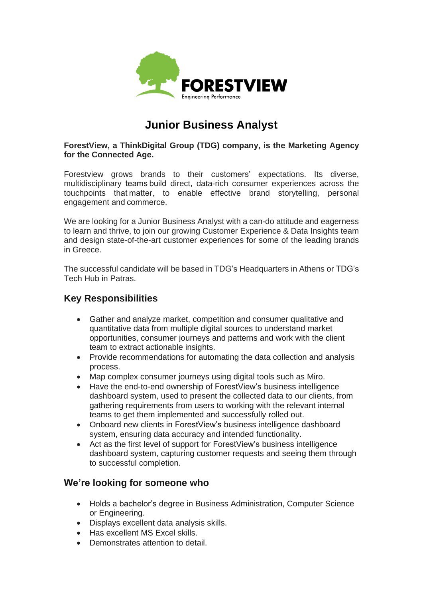

# **Junior Business Analyst**

**ForestView, a ThinkDigital Group (TDG) company, is the Marketing Agency for the Connected Age.**

Forestview grows brands to their customers' expectations. Its diverse, multidisciplinary teams build direct, data-rich consumer experiences across the touchpoints that matter, to enable effective brand storytelling, personal engagement and commerce.

We are looking for a Junior Business Analyst with a can-do attitude and eagerness to learn and thrive, to join our growing Customer Experience & Data Insights team and design state-of-the-art customer experiences for some of the leading brands in Greece.

The successful candidate will be based in TDG's Headquarters in Athens or TDG's Tech Hub in Patras.

## **Key Responsibilities**

- Gather and analyze market, competition and consumer qualitative and quantitative data from multiple digital sources to understand market opportunities, consumer journeys and patterns and work with the client team to extract actionable insights.
- Provide recommendations for automating the data collection and analysis process.
- Map complex consumer journeys using digital tools such as Miro.
- Have the end-to-end ownership of ForestView's business intelligence dashboard system, used to present the collected data to our clients, from gathering requirements from users to working with the relevant internal teams to get them implemented and successfully rolled out.
- Onboard new clients in ForestView's business intelligence dashboard system, ensuring data accuracy and intended functionality.
- Act as the first level of support for ForestView's business intelligence dashboard system, capturing customer requests and seeing them through to successful completion.

### **We're looking for someone who**

- Holds a bachelor's degree in Business Administration, Computer Science or Engineering.
- Displays excellent data analysis skills.
- Has excellent MS Excel skills.
- Demonstrates attention to detail.